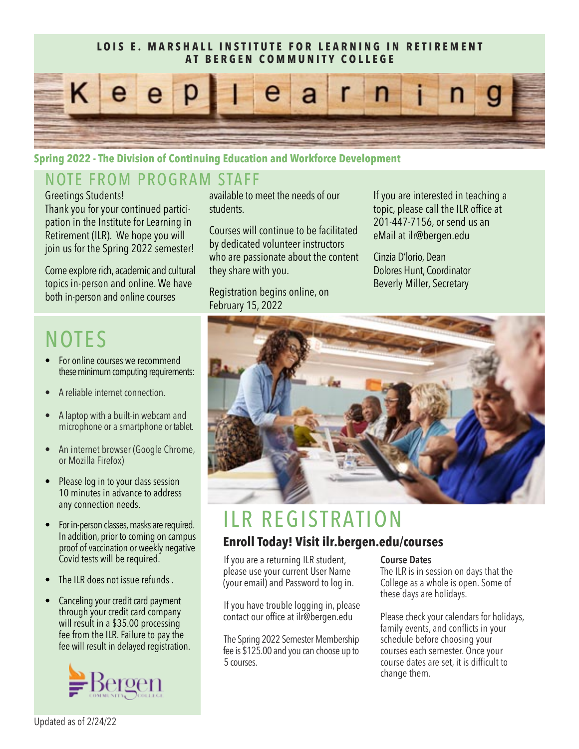#### **LOIS E. MARSHALL INSTITUTE FOR LEARNING IN RETIREMENT AT BERGEN COMMUNITY COLLEGE**



#### **Spring 2022 - The Division of Continuing Education and Workforce Development**

# NOTE FROM PROGRAM STAFF

Greetings Students! Thank you for your continued participation in the Institute for Learning in Retirement (ILR). We hope you will join us for the Spring 2022 semester!

Come explore rich, academic and cultural topics in-person and online. We have both in-person and online courses

# NOTES

- For online courses we recommend these minimum computing requirements:
- A reliable internet connection.
- A laptop with a built-in webcam and microphone or a smartphone or tablet.
- An internet browser (Google Chrome, or Mozilla Firefox)
- Please log in to your class session 10 minutes in advance to address any connection needs.
- For in-person classes, masks are required. In addition, prior to coming on campus proof of vaccination or weekly negative Covid tests will be required.
- The ILR does not issue refunds.
- Canceling your credit card payment through your credit card company will result in a \$35.00 processing fee from the ILR. Failure to pay the fee will result in delayed registration.



available to meet the needs of our students.

Courses will continue to be facilitated by dedicated volunteer instructors who are passionate about the content they share with you.

Registration begins online, on February 15, 2022

If you are interested in teaching a topic, please call the ILR office at 201-447-7156, or send us an eMail at ilr@bergen.edu

Cinzia D'lorio, Dean Dolores Hunt, Coordinator Beverly Miller, Secretary



# ILR REGISTRATION

# **Enroll Today! Visit ilr.bergen.edu/courses**

If you are a returning ILR student, please use your current User Name (your email) and Password to log in.

If you have trouble logging in, please contact our office at ilr@bergen.edu

The Spring 2022 Semester Membership fee is \$125.00 and you can choose up to 5 courses.

#### **Course Dates**

The ILR is in session on days that the College as a whole is open. Some of these days are holidays.

Please check your calendars for holidays, family events, and conflicts in your schedule before choosing your courses each semester. Once your course dates are set, it is difficult to change them.

Updated as of 2/24/22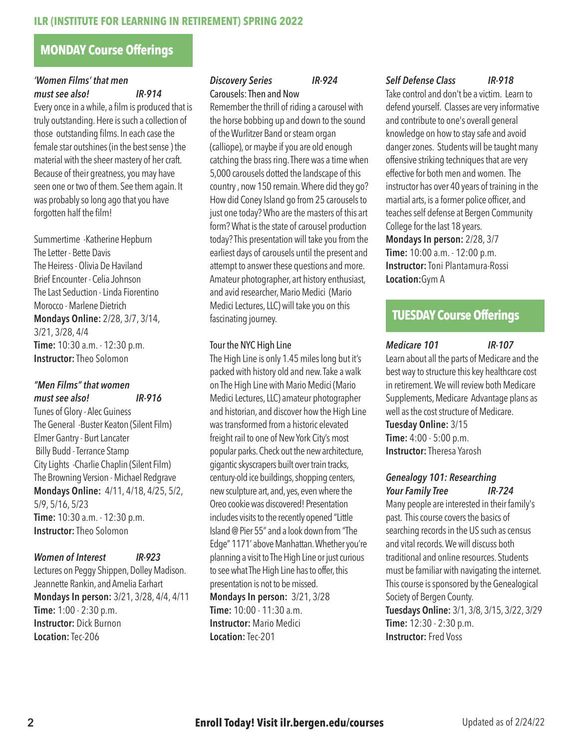## **MONDAY Course Offerings**

#### *'Women Films' that men must see also! IR-914*

Every once in a while, a film is produced that is truly outstanding. Here is such a collection of those outstanding films. In each case the female star outshines (in the best sense ) the material with the sheer mastery of her craft. Because of their greatness, you may have seen one or two of them. See them again. It was probably so long ago that you have forgotten half the film!

Summertime -Katherine Hepburn The Letter - Bette Davis The Heiress - Olivia De Haviland Brief Encounter - Celia Johnson The Last Seduction - Linda Fiorentino Morocco - Marlene Dietrich **Mondays Online:** 2/28, 3/7, 3/14, 3/21, 3/28, 4/4 **Time:** 10:30 a.m. - 12:30 p.m. **Instructor:** Theo Solomon

#### *"Men Films" that women must see also! IR-916*

Tunes of Glory - Alec Guiness The General -Buster Keaton (Silent Film) Elmer Gantry - Burt Lancater Billy Budd - Terrance Stamp City Lights -Charlie Chaplin (Silent Film) The Browning Version - Michael Redgrave **Mondays Online:** 4/11, 4/18, 4/25, 5/2, 5/9, 5/16, 5/23 **Time:** 10:30 a.m. - 12:30 p.m. **Instructor:** Theo Solomon

#### *Women of Interest IR-923*

Lectures on Peggy Shippen, Dolley Madison. Jeannette Rankin, and Amelia Earhart **Mondays In person:** 3/21, 3/28, 4/4, 4/11 **Time:** 1:00 - 2:30 p.m. **Instructor:** Dick Burnon **Location:** Tec-206

#### *Discovery Series IR-924*  Carousels: Then and Now

Remember the thrill of riding a carousel with the horse bobbing up and down to the sound of the Wurlitzer Band or steam organ (calliope), or maybe if you are old enough catching the brass ring. There was a time when 5,000 carousels dotted the landscape of this country , now 150 remain. Where did they go? How did Coney Island go from 25 carousels to just one today? Who are the masters of this art form? What is the state of carousel production today? This presentation will take you from the earliest days of carousels until the present and attempt to answer these questions and more. Amateur photographer, art history enthusiast, and avid researcher, Mario Medici (Mario Medici Lectures, LLC) will take you on this fascinating journey.

#### Tour the NYC High Line

The High Line is only 1.45 miles long but it's packed with history old and new. Take a walk on The High Line with Mario Medici (Mario Medici Lectures, LLC) amateur photographer and historian, and discover how the High Line was transformed from a historic elevated freight rail to one of New York City's most popular parks. Check out the new architecture, gigantic skyscrapers built over train tracks, century-old ice buildings, shopping centers, new sculpture art, and, yes, even where the Oreo cookie was discovered! Presentation includes visits to the recently opened "Little Island @ Pier 55" and a look down from "The Edge" 1171' above Manhattan. Whether you're planning a visit to The High Line or just curious to see what The High Line has to offer, this presentation is not to be missed. **Mondays In person:** 3/21, 3/28 **Time:** 10:00 - 11:30 a.m. **Instructor:** Mario Medici **Location:** Tec-201

#### *Self Defense Class IR-918*

Take control and don't be a victim. Learn to defend yourself. Classes are very informative and contribute to one's overall general knowledge on how to stay safe and avoid danger zones. Students will be taught many offensive striking techniques that are very effective for both men and women. The instructor has over 40 years of training in the martial arts, is a former police officer, and teaches self defense at Bergen Community College for the last 18 years. **Mondays In person:** 2/28, 3/7 **Time:** 10:00 a.m. - 12:00 p.m. **Instructor:** Toni Plantamura-Rossi **Location:**Gym A

# **TUESDAY Course Offerings**

#### *Medicare 101 IR-107*

Learn about all the parts of Medicare and the best way to structure this key healthcare cost in retirement. We will review both Medicare Supplements, Medicare Advantage plans as well as the cost structure of Medicare. **Tuesday Online:** 3/15 **Time:** 4:00 - 5:00 p.m.

**Instructor:** Theresa Yarosh

#### *Genealogy 101: Researching Your Family Tree IR-724*

Many people are interested in their family's past. This course covers the basics of searching records in the US such as census and vital records. We will discuss both traditional and online resources. Students must be familiar with navigating the internet. This course is sponsored by the Genealogical Society of Bergen County. **Tuesdays Online:** 3/1, 3/8, 3/15, 3/22, 3/29 **Time:** 12:30 - 2:30 p.m. **Instructor:** Fred Voss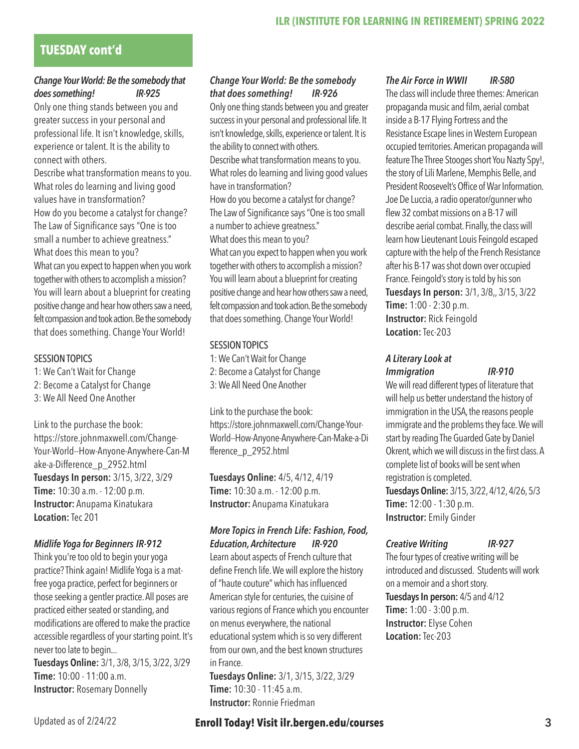# **TUESDAY cont'd**

#### *Change Your World: Be the somebody that does something! IR-925*

Only one thing stands between you and greater success in your personal and professional life. It isn't knowledge, skills, experience or talent. It is the ability to connect with others.

Describe what transformation means to you. What roles do learning and living good values have in transformation? How do you become a catalyst for change? The Law of Significance says "One is too small a number to achieve greatness." What does this mean to you? What can you expect to happen when you work together with others to accomplish a mission? You will learn about a blueprint for creating positive change and hear how others saw a need, felt compassion and took action. Be the somebody that does something. Change Your World!

#### SESSION TOPICS

1: We Can't Wait for Change 2: Become a Catalyst for Change

3: We All Need One Another

Link to the purchase the book: https://store.johnmaxwell.com/Change-Your-World--How-Anyone-Anywhere-Can-M ake-a-Difference\_p\_2952.html **Tuesdays In person:** 3/15, 3/22, 3/29 **Time:** 10:30 a.m. - 12:00 p.m. **Instructor:** Anupama Kinatukara **Location:** Tec 201

#### *Midlife Yoga for Beginners IR-912*

Think you're too old to begin your yoga practice? Think again! Midlife Yoga is a matfree yoga practice, perfect for beginners or those seeking a gentler practice. All poses are practiced either seated or standing, and modifications are offered to make the practice accessible regardless of your starting point. It's never too late to begin...

**Tuesdays Online:** 3/1, 3/8, 3/15, 3/22, 3/29 **Time:** 10:00 - 11:00 a.m. **Instructor:** Rosemary Donnelly

#### *Change Your World: Be the somebody that does something! IR-926*

Only one thing stands between you and greater success in your personal and professional life. It isn't knowledge, skills, experience or talent. It is the ability to connect with others. Describe what transformation means to you. What roles do learning and living good values have in transformation? How do you become a catalyst for change? The Law of Significance says "One is too small a number to achieve greatness." What does this mean to you? What can you expect to happen when you work together with others to accomplish a mission? You will learn about a blueprint for creating positive change and hear how others saw a need, felt compassion and took action. Be the somebody that does something. Change Your World!

#### SESSION TOPICS

1: We Can't Wait for Change 2: Become a Catalyst for Change 3: We All Need One Another

Link to the purchase the book: https://store.johnmaxwell.com/Change-Your-World--How-Anyone-Anywhere-Can-Make-a-Di fference\_p\_2952.html

**Tuesdays Online:** 4/5, 4/12, 4/19 **Time:** 10:30 a.m. - 12:00 p.m. **Instructor:** Anupama Kinatukara

#### *More Topics in French Life: Fashion, Food, Education, Architecture IR-920*

Learn about aspects of French culture that define French life. We will explore the history of "haute couture" which has influenced American style for centuries, the cuisine of various regions of France which you encounter on menus everywhere, the national educational system which is so very different from our own, and the best known structures in France.

**Tuesdays Online:** 3/1, 3/15, 3/22, 3/29 **Time:** 10:30 - 11:45 a.m. **Instructor:** Ronnie Friedman

#### *The Air Force in WWII IR-580*

The class will include three themes: American propaganda music and film, aerial combat inside a B-17 Flying Fortress and the Resistance Escape lines in Western European occupied territories. American propaganda will feature The Three Stooges short You Nazty Spy!, the story of Lili Marlene, Memphis Belle, and President Roosevelt's Office of War Information. Joe De Luccia, a radio operator/gunner who flew 32 combat missions on a B-17 will describe aerial combat. Finally, the class will learn how Lieutenant Louis Feingold escaped capture with the help of the French Resistance after his B-17 was shot down over occupied France. Feingold's story is told by his son **Tuesdays In person:** 3/1, 3/8,, 3/15, 3/22 **Time:** 1:00 - 2:30 p.m. **Instructor:** Rick Feingold **Location:** Tec-203

#### *A Literary Look at Immigration IR-910*

We will read different types of literature that will help us better understand the history of immigration in the USA, the reasons people immigrate and the problems they face. We will start by reading The Guarded Gate by Daniel Okrent, which we will discuss in the first class. A complete list of books will be sent when registration is completed.

**Tuesdays Online:** 3/15, 3/22, 4/12, 4/26, 5/3 **Time:** 12:00 - 1:30 p.m. **Instructor:** Emily Ginder

#### *Creative Writing IR-927*

The four types of creative writing will be introduced and discussed. Students will work on a memoir and a short story. **Tuesdays In person:** 4/5 and 4/12 **Time:** 1:00 - 3:00 p.m. **Instructor:** Elyse Cohen **Location:** Tec-203

#### Updated as of 2/24/22 **Enroll Today! Visit ilr.bergen.edu/courses**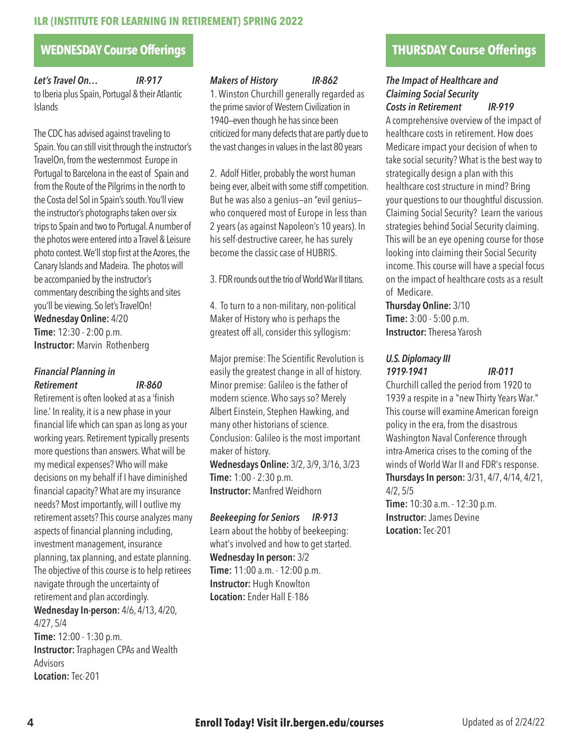## **WEDNESDAY Course Offerings**

*Let's Travel On… IR-917*  to Iberia plus Spain, Portugal & their Atlantic Islands

The CDC has advised against traveling to Spain. You can still visit through the instructor's TravelOn, from the westernmost Europe in Portugal to Barcelona in the east of Spain and from the Route of the Pilgrims in the north to the Costa del Sol in Spain's south. You'll view the instructor's photographs taken over six trips to Spain and two to Portugal. A number of the photos were entered into a Travel & Leisure photo contest. We'll stop first at the Azores, the Canary Islands and Madeira. The photos will be accompanied by the instructor's commentary describing the sights and sites you'll be viewing. So let's TravelOn! **Wednesday Online:** 4/20 **Time:** 12:30 - 2:00 p.m. **Instructor:** Marvin Rothenberg

#### *Financial Planning in Retirement IR-860*

Retirement is often looked at as a 'finish line.' In reality, it is a new phase in your financial life which can span as long as your working years. Retirement typically presents more questions than answers. What will be my medical expenses? Who will make decisions on my behalf if I have diminished financial capacity? What are my insurance needs? Most importantly, will I outlive my retirement assets? This course analyzes many aspects of financial planning including, investment management, insurance planning, tax planning, and estate planning. The objective of this course is to help retirees navigate through the uncertainty of retirement and plan accordingly. **Wednesday In-person:** 4/6, 4/13, 4/20,

4/27, 5/4 **Time:** 12:00 - 1:30 p.m. **Instructor:** Traphagen CPAs and Wealth Advisors **Location:** Tec-201

#### *Makers of History IR-862*

1. Winston Churchill generally regarded as the prime savior of Western Civilization in 1940—even though he has since been criticized for many defects that are partly due to the vast changes in values in the last 80 years

2. Adolf Hitler, probably the worst human being ever, albeit with some stiff competition. But he was also a genius—an "evil genius who conquered most of Europe in less than 2 years (as against Napoleon's 10 years). In his self-destructive career, he has surely become the classic case of HUBRIS.

3. FDR rounds out the trio of World War II titans.

4. To turn to a non-military, non-political Maker of History who is perhaps the greatest off all, consider this syllogism:

Major premise: The Scientific Revolution is easily the greatest change in all of history. Minor premise: Galileo is the father of modern science. Who says so? Merely Albert Einstein, Stephen Hawking, and many other historians of science. Conclusion: Galileo is the most important maker of history.

**Wednesdays Online:** 3/2, 3/9, 3/16, 3/23 **Time:** 1:00 - 2:30 p.m. **Instructor:** Manfred Weidhorn

#### *Beekeeping for Seniors IR-913*

Learn about the hobby of beekeeping: what's involved and how to get started. **Wednesday In person:** 3/2 **Time:** 11:00 a.m. - 12:00 p.m. **Instructor:** Hugh Knowlton **Location:** Ender Hall E-186

#### *The Impact of Healthcare and Claiming Social Security Costs in Retirement IR-919*

A comprehensive overview of the impact of healthcare costs in retirement. How does Medicare impact your decision of when to take social security? What is the best way to strategically design a plan with this healthcare cost structure in mind? Bring your questions to our thoughtful discussion. Claiming Social Security? Learn the various strategies behind Social Security claiming. This will be an eye opening course for those looking into claiming their Social Security income. This course will have a special focus on the impact of healthcare costs as a result of Medicare.

**Thursday Online:** 3/10 **Time:** 3:00 - 5:00 p.m. **Instructor:** Theresa Yarosh

#### *U.S. Diplomacy III 1919-1941 IR-011*

Churchill called the period from 1920 to 1939 a respite in a "new Thirty Years War." This course will examine American foreign policy in the era, from the disastrous Washington Naval Conference through intra-America crises to the coming of the winds of World War II and FDR's response. **Thursdays In person:** 3/31, 4/7, 4/14, 4/21, 4/2, 5/5

**Time:** 10:30 a.m. - 12:30 p.m. **Instructor:** James Devine **Location:** Tec-201